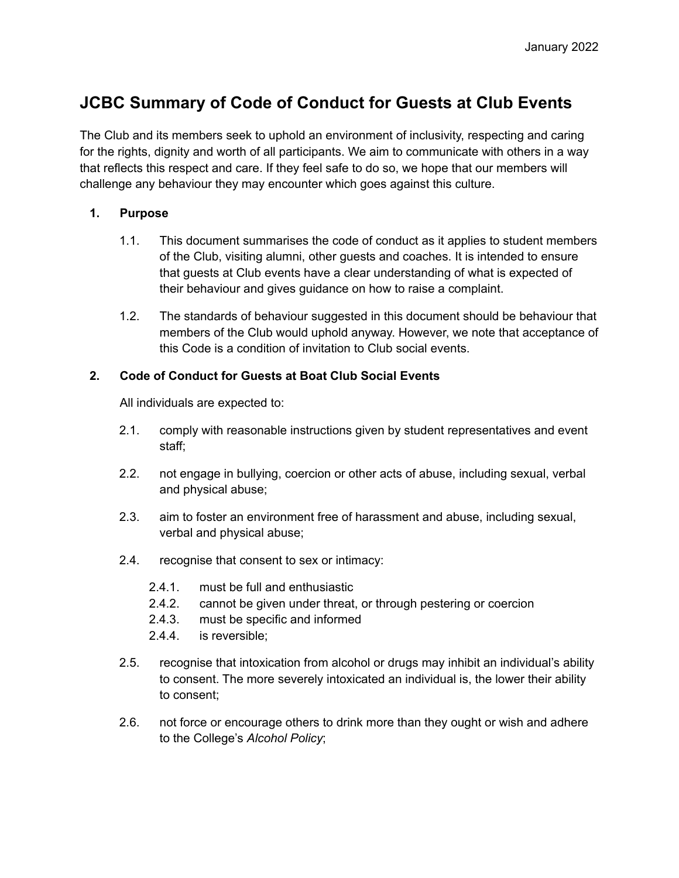## **JCBC Summary of Code of Conduct for Guests at Club Events**

The Club and its members seek to uphold an environment of inclusivity, respecting and caring for the rights, dignity and worth of all participants. We aim to communicate with others in a way that reflects this respect and care. If they feel safe to do so, we hope that our members will challenge any behaviour they may encounter which goes against this culture.

## **1. Purpose**

- 1.1. This document summarises the code of conduct as it applies to student members of the Club, visiting alumni, other guests and coaches. It is intended to ensure that guests at Club events have a clear understanding of what is expected of their behaviour and gives guidance on how to raise a complaint.
- 1.2. The standards of behaviour suggested in this document should be behaviour that members of the Club would uphold anyway. However, we note that acceptance of this Code is a condition of invitation to Club social events.

## **2. Code of Conduct for Guests at Boat Club Social Events**

All individuals are expected to:

- 2.1. comply with reasonable instructions given by student representatives and event staff;
- 2.2. not engage in bullying, coercion or other acts of abuse, including sexual, verbal and physical abuse;
- 2.3. aim to foster an environment free of harassment and abuse, including sexual, verbal and physical abuse;
- 2.4. recognise that consent to sex or intimacy:
	- 2.4.1. must be full and enthusiastic
	- 2.4.2. cannot be given under threat, or through pestering or coercion
	- 2.4.3. must be specific and informed
	- 2.4.4. is reversible;
- 2.5. recognise that intoxication from alcohol or drugs may inhibit an individual's ability to consent. The more severely intoxicated an individual is, the lower their ability to consent;
- 2.6. not force or encourage others to drink more than they ought or wish and adhere to the College's *Alcohol Policy*;